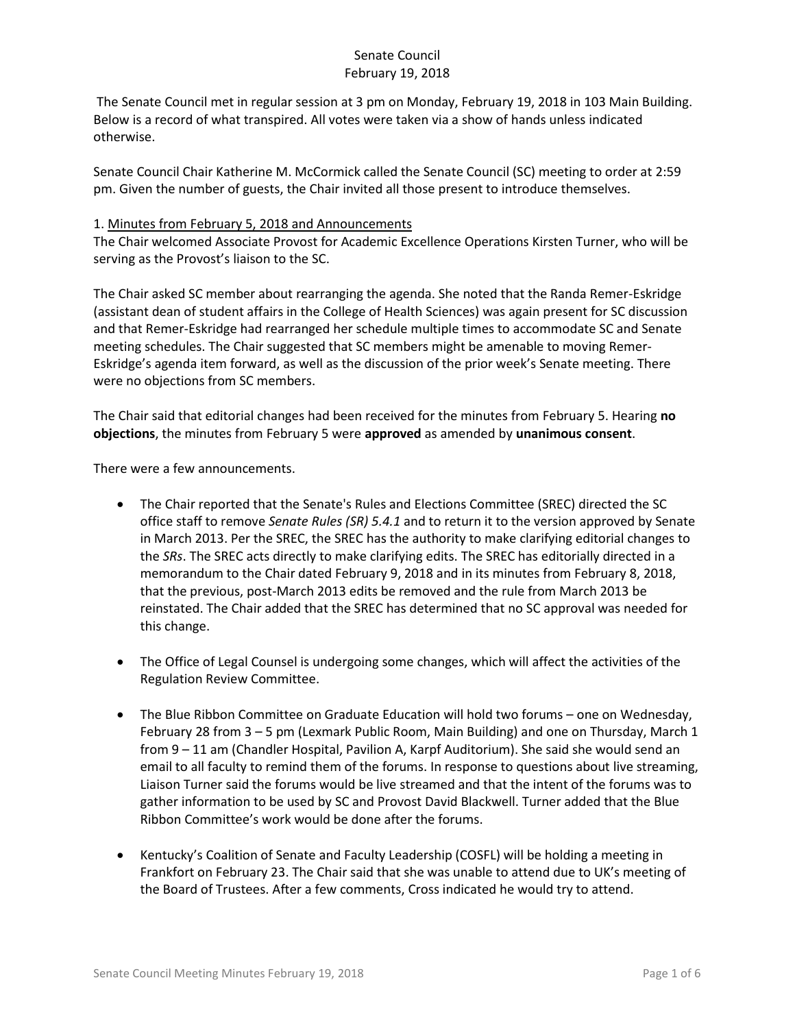The Senate Council met in regular session at 3 pm on Monday, February 19, 2018 in 103 Main Building. Below is a record of what transpired. All votes were taken via a show of hands unless indicated otherwise.

Senate Council Chair Katherine M. McCormick called the Senate Council (SC) meeting to order at 2:59 pm. Given the number of guests, the Chair invited all those present to introduce themselves.

### 1. Minutes from February 5, 2018 and Announcements

The Chair welcomed Associate Provost for Academic Excellence Operations Kirsten Turner, who will be serving as the Provost's liaison to the SC.

The Chair asked SC member about rearranging the agenda. She noted that the Randa Remer-Eskridge (assistant dean of student affairs in the College of Health Sciences) was again present for SC discussion and that Remer-Eskridge had rearranged her schedule multiple times to accommodate SC and Senate meeting schedules. The Chair suggested that SC members might be amenable to moving Remer-Eskridge's agenda item forward, as well as the discussion of the prior week's Senate meeting. There were no objections from SC members.

The Chair said that editorial changes had been received for the minutes from February 5. Hearing **no objections**, the minutes from February 5 were **approved** as amended by **unanimous consent**.

There were a few announcements.

- The Chair reported that the Senate's Rules and Elections Committee (SREC) directed the SC office staff to remove *Senate Rules (SR) 5.4.1* and to return it to the version approved by Senate in March 2013. Per the SREC, the SREC has the authority to make clarifying editorial changes to the *SRs*. The SREC acts directly to make clarifying edits. The SREC has editorially directed in a memorandum to the Chair dated February 9, 2018 and in its minutes from February 8, 2018, that the previous, post-March 2013 edits be removed and the rule from March 2013 be reinstated. The Chair added that the SREC has determined that no SC approval was needed for this change.
- The Office of Legal Counsel is undergoing some changes, which will affect the activities of the Regulation Review Committee.
- The Blue Ribbon Committee on Graduate Education will hold two forums one on Wednesday, February 28 from 3 – 5 pm (Lexmark Public Room, Main Building) and one on Thursday, March 1 from 9 – 11 am (Chandler Hospital, Pavilion A, Karpf Auditorium). She said she would send an email to all faculty to remind them of the forums. In response to questions about live streaming, Liaison Turner said the forums would be live streamed and that the intent of the forums was to gather information to be used by SC and Provost David Blackwell. Turner added that the Blue Ribbon Committee's work would be done after the forums.
- Kentucky's Coalition of Senate and Faculty Leadership (COSFL) will be holding a meeting in Frankfort on February 23. The Chair said that she was unable to attend due to UK's meeting of the Board of Trustees. After a few comments, Cross indicated he would try to attend.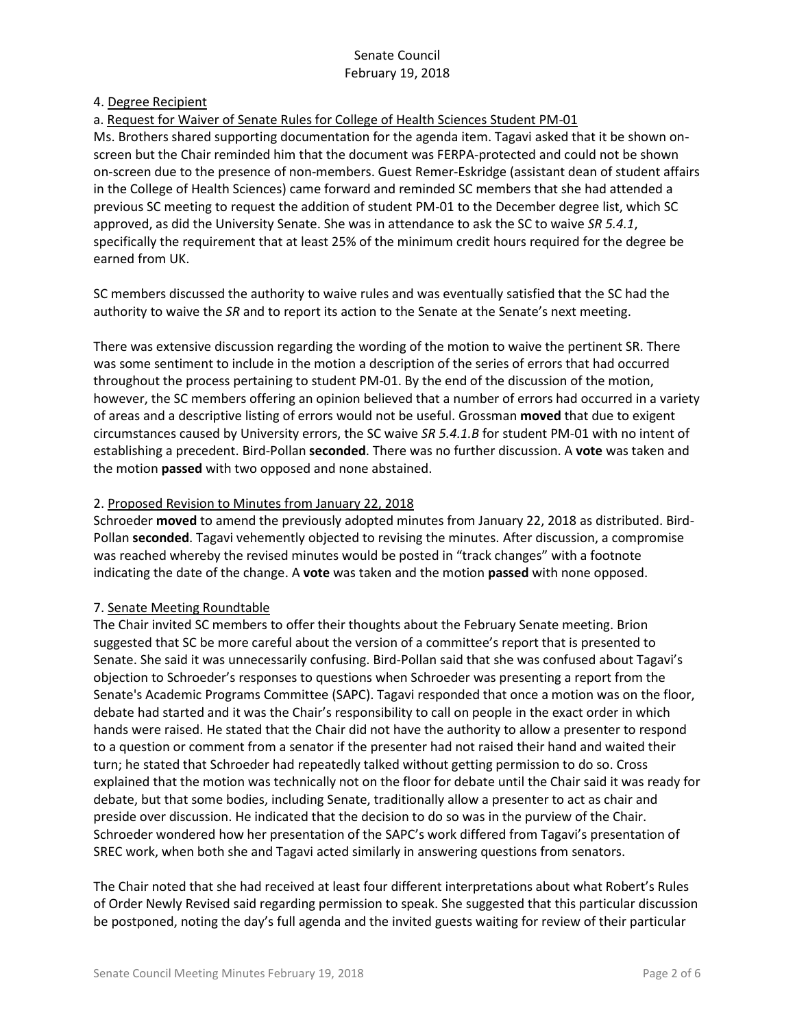#### 4. Degree Recipient

#### a. Request for Waiver of Senate Rules for College of Health Sciences Student PM-01

Ms. Brothers shared supporting documentation for the agenda item. Tagavi asked that it be shown onscreen but the Chair reminded him that the document was FERPA-protected and could not be shown on-screen due to the presence of non-members. Guest Remer-Eskridge (assistant dean of student affairs in the College of Health Sciences) came forward and reminded SC members that she had attended a previous SC meeting to request the addition of student PM-01 to the December degree list, which SC approved, as did the University Senate. She was in attendance to ask the SC to waive *SR 5.4.1*, specifically the requirement that at least 25% of the minimum credit hours required for the degree be earned from UK.

SC members discussed the authority to waive rules and was eventually satisfied that the SC had the authority to waive the *SR* and to report its action to the Senate at the Senate's next meeting.

There was extensive discussion regarding the wording of the motion to waive the pertinent SR. There was some sentiment to include in the motion a description of the series of errors that had occurred throughout the process pertaining to student PM-01. By the end of the discussion of the motion, however, the SC members offering an opinion believed that a number of errors had occurred in a variety of areas and a descriptive listing of errors would not be useful. Grossman **moved** that due to exigent circumstances caused by University errors, the SC waive *SR 5.4.1.B* for student PM-01 with no intent of establishing a precedent. Bird-Pollan **seconded**. There was no further discussion. A **vote** was taken and the motion **passed** with two opposed and none abstained.

#### 2. Proposed Revision to Minutes from January 22, 2018

Schroeder **moved** to amend the previously adopted minutes from January 22, 2018 as distributed. Bird-Pollan **seconded**. Tagavi vehemently objected to revising the minutes. After discussion, a compromise was reached whereby the revised minutes would be posted in "track changes" with a footnote indicating the date of the change. A **vote** was taken and the motion **passed** with none opposed.

### 7. Senate Meeting Roundtable

The Chair invited SC members to offer their thoughts about the February Senate meeting. Brion suggested that SC be more careful about the version of a committee's report that is presented to Senate. She said it was unnecessarily confusing. Bird-Pollan said that she was confused about Tagavi's objection to Schroeder's responses to questions when Schroeder was presenting a report from the Senate's Academic Programs Committee (SAPC). Tagavi responded that once a motion was on the floor, debate had started and it was the Chair's responsibility to call on people in the exact order in which hands were raised. He stated that the Chair did not have the authority to allow a presenter to respond to a question or comment from a senator if the presenter had not raised their hand and waited their turn; he stated that Schroeder had repeatedly talked without getting permission to do so. Cross explained that the motion was technically not on the floor for debate until the Chair said it was ready for debate, but that some bodies, including Senate, traditionally allow a presenter to act as chair and preside over discussion. He indicated that the decision to do so was in the purview of the Chair. Schroeder wondered how her presentation of the SAPC's work differed from Tagavi's presentation of SREC work, when both she and Tagavi acted similarly in answering questions from senators.

The Chair noted that she had received at least four different interpretations about what Robert's Rules of Order Newly Revised said regarding permission to speak. She suggested that this particular discussion be postponed, noting the day's full agenda and the invited guests waiting for review of their particular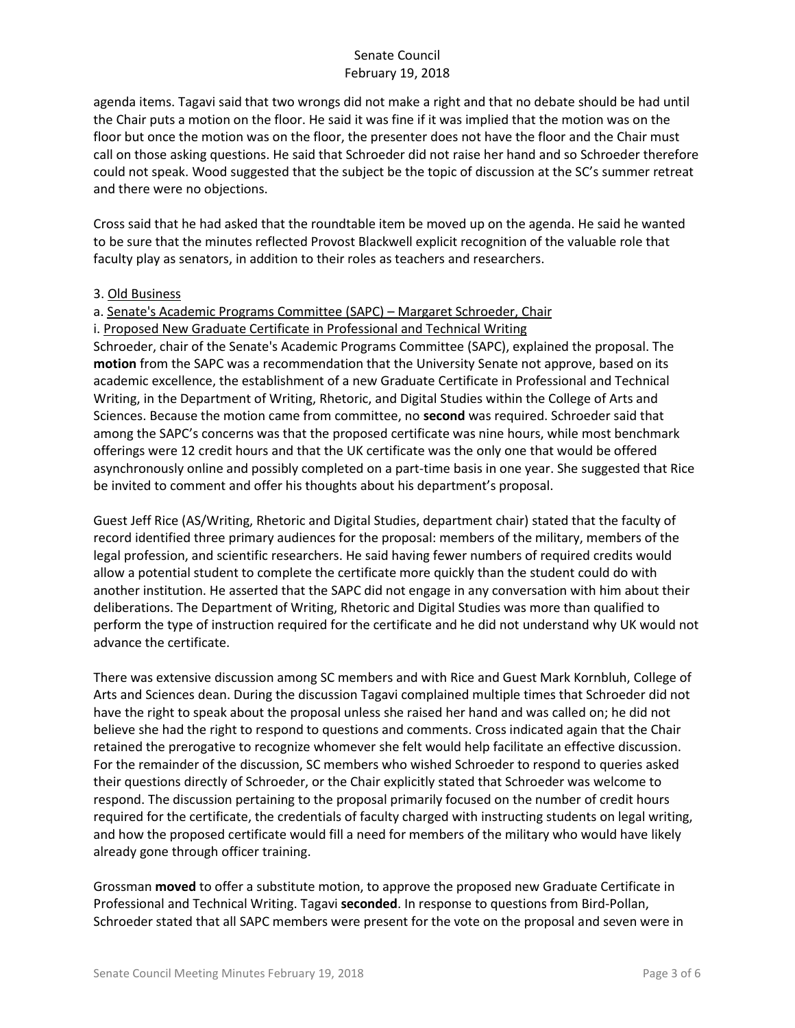agenda items. Tagavi said that two wrongs did not make a right and that no debate should be had until the Chair puts a motion on the floor. He said it was fine if it was implied that the motion was on the floor but once the motion was on the floor, the presenter does not have the floor and the Chair must call on those asking questions. He said that Schroeder did not raise her hand and so Schroeder therefore could not speak. Wood suggested that the subject be the topic of discussion at the SC's summer retreat and there were no objections.

Cross said that he had asked that the roundtable item be moved up on the agenda. He said he wanted to be sure that the minutes reflected Provost Blackwell explicit recognition of the valuable role that faculty play as senators, in addition to their roles as teachers and researchers.

#### 3. Old Business

### a. Senate's Academic Programs Committee (SAPC) – Margaret Schroeder, Chair

i. Proposed New Graduate Certificate in Professional and Technical Writing

Schroeder, chair of the Senate's Academic Programs Committee (SAPC), explained the proposal. The **motion** from the SAPC was a recommendation that the University Senate not approve, based on its academic excellence, the establishment of a new Graduate Certificate in Professional and Technical Writing, in the Department of Writing, Rhetoric, and Digital Studies within the College of Arts and Sciences. Because the motion came from committee, no **second** was required. Schroeder said that among the SAPC's concerns was that the proposed certificate was nine hours, while most benchmark offerings were 12 credit hours and that the UK certificate was the only one that would be offered asynchronously online and possibly completed on a part-time basis in one year. She suggested that Rice be invited to comment and offer his thoughts about his department's proposal.

Guest Jeff Rice (AS/Writing, Rhetoric and Digital Studies, department chair) stated that the faculty of record identified three primary audiences for the proposal: members of the military, members of the legal profession, and scientific researchers. He said having fewer numbers of required credits would allow a potential student to complete the certificate more quickly than the student could do with another institution. He asserted that the SAPC did not engage in any conversation with him about their deliberations. The Department of Writing, Rhetoric and Digital Studies was more than qualified to perform the type of instruction required for the certificate and he did not understand why UK would not advance the certificate.

There was extensive discussion among SC members and with Rice and Guest Mark Kornbluh, College of Arts and Sciences dean. During the discussion Tagavi complained multiple times that Schroeder did not have the right to speak about the proposal unless she raised her hand and was called on; he did not believe she had the right to respond to questions and comments. Cross indicated again that the Chair retained the prerogative to recognize whomever she felt would help facilitate an effective discussion. For the remainder of the discussion, SC members who wished Schroeder to respond to queries asked their questions directly of Schroeder, or the Chair explicitly stated that Schroeder was welcome to respond. The discussion pertaining to the proposal primarily focused on the number of credit hours required for the certificate, the credentials of faculty charged with instructing students on legal writing, and how the proposed certificate would fill a need for members of the military who would have likely already gone through officer training.

Grossman **moved** to offer a substitute motion, to approve the proposed new Graduate Certificate in Professional and Technical Writing. Tagavi **seconded**. In response to questions from Bird-Pollan, Schroeder stated that all SAPC members were present for the vote on the proposal and seven were in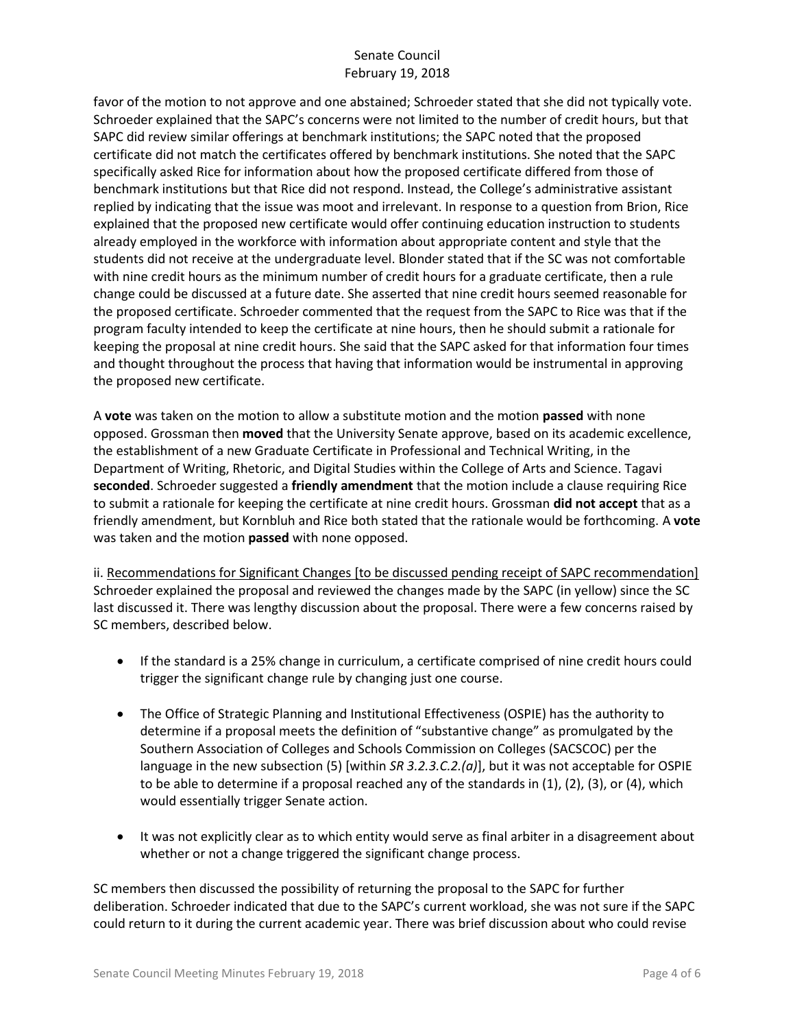favor of the motion to not approve and one abstained; Schroeder stated that she did not typically vote. Schroeder explained that the SAPC's concerns were not limited to the number of credit hours, but that SAPC did review similar offerings at benchmark institutions; the SAPC noted that the proposed certificate did not match the certificates offered by benchmark institutions. She noted that the SAPC specifically asked Rice for information about how the proposed certificate differed from those of benchmark institutions but that Rice did not respond. Instead, the College's administrative assistant replied by indicating that the issue was moot and irrelevant. In response to a question from Brion, Rice explained that the proposed new certificate would offer continuing education instruction to students already employed in the workforce with information about appropriate content and style that the students did not receive at the undergraduate level. Blonder stated that if the SC was not comfortable with nine credit hours as the minimum number of credit hours for a graduate certificate, then a rule change could be discussed at a future date. She asserted that nine credit hours seemed reasonable for the proposed certificate. Schroeder commented that the request from the SAPC to Rice was that if the program faculty intended to keep the certificate at nine hours, then he should submit a rationale for keeping the proposal at nine credit hours. She said that the SAPC asked for that information four times and thought throughout the process that having that information would be instrumental in approving the proposed new certificate.

A **vote** was taken on the motion to allow a substitute motion and the motion **passed** with none opposed. Grossman then **moved** that the University Senate approve, based on its academic excellence, the establishment of a new Graduate Certificate in Professional and Technical Writing, in the Department of Writing, Rhetoric, and Digital Studies within the College of Arts and Science. Tagavi **seconded**. Schroeder suggested a **friendly amendment** that the motion include a clause requiring Rice to submit a rationale for keeping the certificate at nine credit hours. Grossman **did not accept** that as a friendly amendment, but Kornbluh and Rice both stated that the rationale would be forthcoming. A **vote** was taken and the motion **passed** with none opposed.

ii. Recommendations for Significant Changes [to be discussed pending receipt of SAPC recommendation] Schroeder explained the proposal and reviewed the changes made by the SAPC (in yellow) since the SC last discussed it. There was lengthy discussion about the proposal. There were a few concerns raised by SC members, described below.

- If the standard is a 25% change in curriculum, a certificate comprised of nine credit hours could trigger the significant change rule by changing just one course.
- The Office of Strategic Planning and Institutional Effectiveness (OSPIE) has the authority to determine if a proposal meets the definition of "substantive change" as promulgated by the Southern Association of Colleges and Schools Commission on Colleges (SACSCOC) per the language in the new subsection (5) [within *SR 3.2.3.C.2.(a)*], but it was not acceptable for OSPIE to be able to determine if a proposal reached any of the standards in (1), (2), (3), or (4), which would essentially trigger Senate action.
- It was not explicitly clear as to which entity would serve as final arbiter in a disagreement about whether or not a change triggered the significant change process.

SC members then discussed the possibility of returning the proposal to the SAPC for further deliberation. Schroeder indicated that due to the SAPC's current workload, she was not sure if the SAPC could return to it during the current academic year. There was brief discussion about who could revise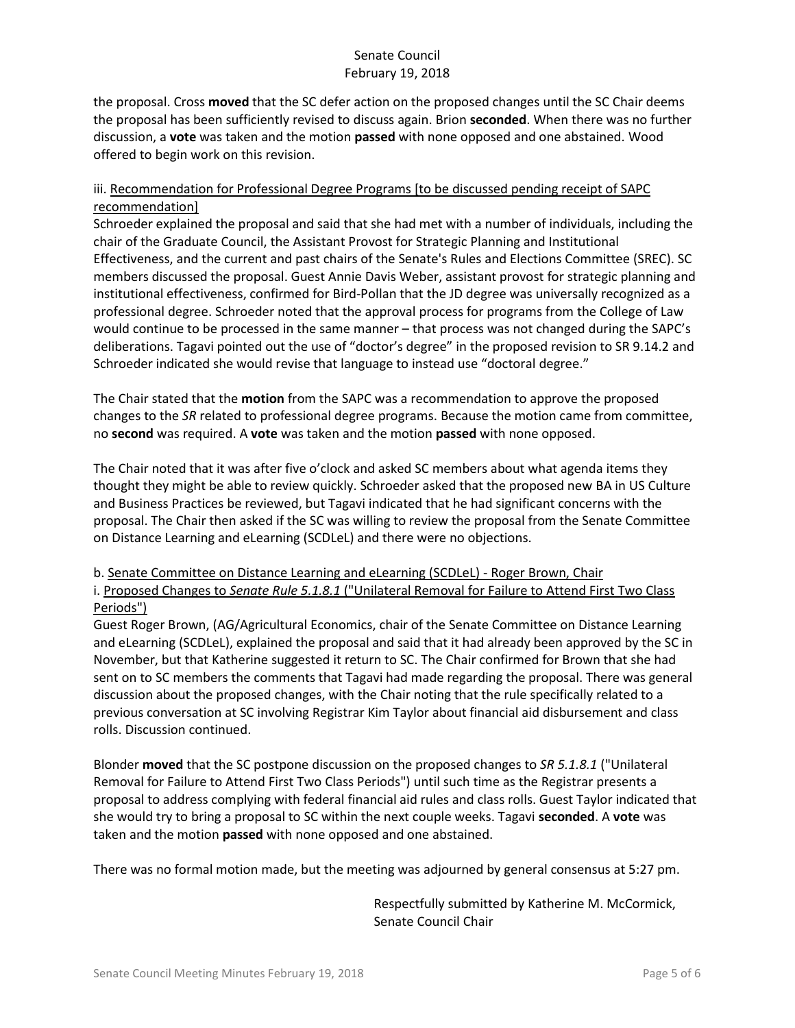the proposal. Cross **moved** that the SC defer action on the proposed changes until the SC Chair deems the proposal has been sufficiently revised to discuss again. Brion **seconded**. When there was no further discussion, a **vote** was taken and the motion **passed** with none opposed and one abstained. Wood offered to begin work on this revision.

## iii. Recommendation for Professional Degree Programs [to be discussed pending receipt of SAPC recommendation]

Schroeder explained the proposal and said that she had met with a number of individuals, including the chair of the Graduate Council, the Assistant Provost for Strategic Planning and Institutional Effectiveness, and the current and past chairs of the Senate's Rules and Elections Committee (SREC). SC members discussed the proposal. Guest Annie Davis Weber, assistant provost for strategic planning and institutional effectiveness, confirmed for Bird-Pollan that the JD degree was universally recognized as a professional degree. Schroeder noted that the approval process for programs from the College of Law would continue to be processed in the same manner – that process was not changed during the SAPC's deliberations. Tagavi pointed out the use of "doctor's degree" in the proposed revision to SR 9.14.2 and Schroeder indicated she would revise that language to instead use "doctoral degree."

The Chair stated that the **motion** from the SAPC was a recommendation to approve the proposed changes to the *SR* related to professional degree programs. Because the motion came from committee, no **second** was required. A **vote** was taken and the motion **passed** with none opposed.

The Chair noted that it was after five o'clock and asked SC members about what agenda items they thought they might be able to review quickly. Schroeder asked that the proposed new BA in US Culture and Business Practices be reviewed, but Tagavi indicated that he had significant concerns with the proposal. The Chair then asked if the SC was willing to review the proposal from the Senate Committee on Distance Learning and eLearning (SCDLeL) and there were no objections.

### b. Senate Committee on Distance Learning and eLearning (SCDLeL) - Roger Brown, Chair i. Proposed Changes to *Senate Rule 5.1.8.1* ("Unilateral Removal for Failure to Attend First Two Class Periods")

Guest Roger Brown, (AG/Agricultural Economics, chair of the Senate Committee on Distance Learning and eLearning (SCDLeL), explained the proposal and said that it had already been approved by the SC in November, but that Katherine suggested it return to SC. The Chair confirmed for Brown that she had sent on to SC members the comments that Tagavi had made regarding the proposal. There was general discussion about the proposed changes, with the Chair noting that the rule specifically related to a previous conversation at SC involving Registrar Kim Taylor about financial aid disbursement and class rolls. Discussion continued.

Blonder **moved** that the SC postpone discussion on the proposed changes to *SR 5.1.8.1* ("Unilateral Removal for Failure to Attend First Two Class Periods") until such time as the Registrar presents a proposal to address complying with federal financial aid rules and class rolls. Guest Taylor indicated that she would try to bring a proposal to SC within the next couple weeks. Tagavi **seconded**. A **vote** was taken and the motion **passed** with none opposed and one abstained.

There was no formal motion made, but the meeting was adjourned by general consensus at 5:27 pm.

Respectfully submitted by Katherine M. McCormick, Senate Council Chair